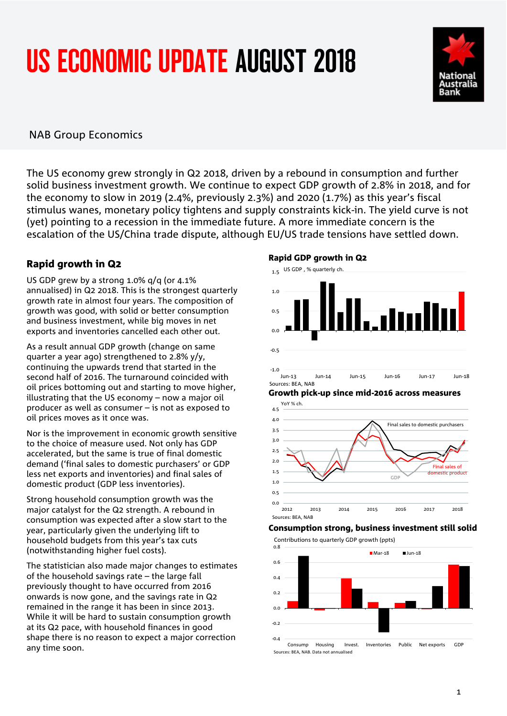# US ECONOMIC UPDATE AUGUST 2018



## NAB Group Economics

The US economy grew strongly in Q2 2018, driven by a rebound in consumption and further solid business investment growth. We continue to expect GDP growth of 2.8% in 2018, and for the economy to slow in 2019 (2.4%, previously 2.3%) and 2020 (1.7%) as this year's fiscal stimulus wanes, monetary policy tightens and supply constraints kick-in. The yield curve is not (yet) pointing to a recession in the immediate future. A more immediate concern is the escalation of the US/China trade dispute, although EU/US trade tensions have settled down.

### Rapid growth in Q2

US GDP grew by a strong 1.0% q/q (or 4.1% annualised) in Q2 2018. This is the strongest quarterly growth rate in almost four years. The composition of growth was good, with solid or better consumption and business investment, while big moves in net exports and inventories cancelled each other out.

As a result annual GDP growth (change on same quarter a year ago) strengthened to 2.8% y/y, continuing the upwards trend that started in the second half of 2016. The turnaround coincided with oil prices bottoming out and starting to move higher, illustrating that the US economy – now a major oil producer as well as consumer – is not as exposed to oil prices moves as it once was.

Nor is the improvement in economic growth sensitive to the choice of measure used. Not only has GDP accelerated, but the same is true of final domestic demand ('final sales to domestic purchasers' or GDP less net exports and inventories) and final sales of domestic product (GDP less inventories).

Strong household consumption growth was the major catalyst for the Q2 strength. A rebound in consumption was expected after a slow start to the year, particularly given the underlying lift to household budgets from this year's tax cuts (notwithstanding higher fuel costs).

The statistician also made major changes to estimates of the household savings rate – the large fall previously thought to have occurred from 2016 onwards is now gone, and the savings rate in Q2 remained in the range it has been in since 2013. While it will be hard to sustain consumption growth at its Q2 pace, with household finances in good shape there is no reason to expect a major correction any time soon.

#### Rapid GDP growth in Q2



#### Growth pick-up since mid-2016 across measures



#### Consumption strong, business investment still solid

Contributions to quarterly GDP growth (ppts)

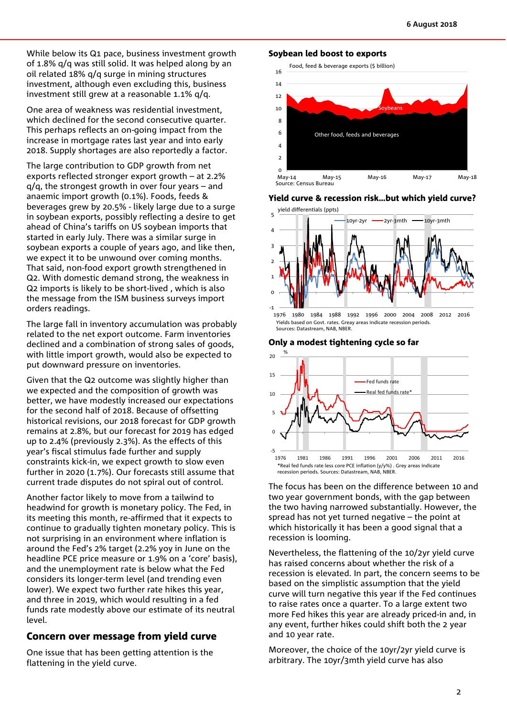While below its Q1 pace, business investment growth of 1.8% q/q was still solid. It was helped along by an oil related 18% q/q surge in mining structures investment, although even excluding this, business investment still grew at a reasonable 1.1% q/q.

One area of weakness was residential investment, which declined for the second consecutive quarter. This perhaps reflects an on-going impact from the increase in mortgage rates last year and into early 2018. Supply shortages are also reportedly a factor.

The large contribution to GDP growth from net exports reflected stronger export growth – at 2.2%  $q/q$ , the strongest growth in over four years – and anaemic import growth (0.1%). Foods, feeds & beverages grew by 20.5% - likely large due to a surge in soybean exports, possibly reflecting a desire to get ahead of China's tariffs on US soybean imports that started in early July. There was a similar surge in soybean exports a couple of years ago, and like then, we expect it to be unwound over coming months. That said, non-food export growth strengthened in Q2. With domestic demand strong, the weakness in Q2 imports is likely to be short-lived , which is also the message from the ISM business surveys import orders readings.

The large fall in inventory accumulation was probably related to the net export outcome. Farm inventories declined and a combination of strong sales of goods, with little import growth, would also be expected to put downward pressure on inventories.

Given that the Q2 outcome was slightly higher than we expected and the composition of growth was better, we have modestly increased our expectations for the second half of 2018. Because of offsetting historical revisions, our 2018 forecast for GDP growth remains at 2.8%, but our forecast for 2019 has edged up to 2.4% (previously 2.3%). As the effects of this year's fiscal stimulus fade further and supply constraints kick-in, we expect growth to slow even further in 2020 (1.7%). Our forecasts still assume that current trade disputes do not spiral out of control.

Another factor likely to move from a tailwind to headwind for growth is monetary policy. The Fed, in its meeting this month, re-affirmed that it expects to continue to gradually tighten monetary policy. This is not surprising in an environment where inflation is around the Fed's 2% target (2.2% yoy in June on the headline PCE price measure or 1.9% on a 'core' basis), and the unemployment rate is below what the Fed considers its longer-term level (and trending even lower). We expect two further rate hikes this year, and three in 2019, which would resulting in a fed funds rate modestly above our estimate of its neutral level.

# Concern over message from yield curve

One issue that has been getting attention is the flattening in the yield curve.

#### Soybean led boost to exports

Food, feed & beverage exports (\$ billion)



#### Yield curve & recession risk…but which yield curve?



Yields based on Govt. rates. Greay areas indicate recession periods. Sources: Datastream, NAB, NRFR

Only a modest tightening cycle so far



The focus has been on the difference between 10 and two year government bonds, with the gap between the two having narrowed substantially. However, the spread has not yet turned negative – the point at which historically it has been a good signal that a recession is looming.

Nevertheless, the flattening of the 10/2yr yield curve has raised concerns about whether the risk of a recession is elevated. In part, the concern seems to be based on the simplistic assumption that the yield curve will turn negative this year if the Fed continues to raise rates once a quarter. To a large extent two more Fed hikes this year are already priced-in and, in any event, further hikes could shift both the 2 year and 10 year rate.

Moreover, the choice of the 10yr/2yr yield curve is arbitrary. The 10yr/3mth yield curve has also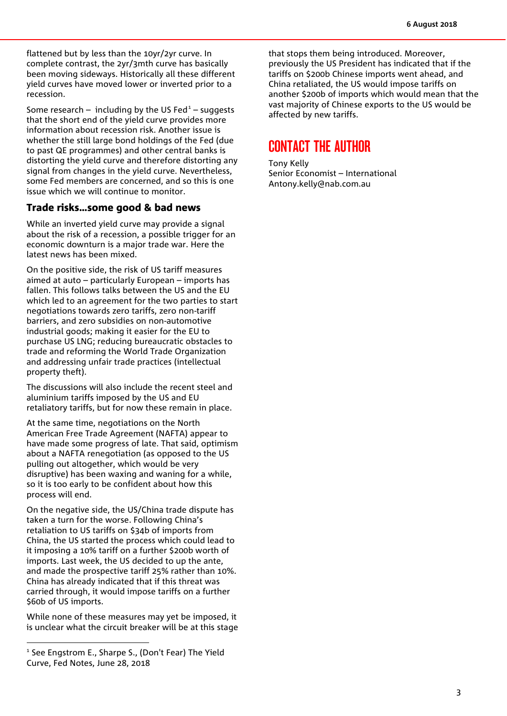flattened but by less than the 10yr/2yr curve. In complete contrast, the 2yr/3mth curve has basically been moving sideways. Historically all these different yield curves have moved lower or inverted prior to a recession.

Some research – including by the US Fed $1 1 -$  suggests that the short end of the yield curve provides more information about recession risk. Another issue is whether the still large bond holdings of the Fed (due to past QE programmes) and other central banks is distorting the yield curve and therefore distorting any signal from changes in the yield curve. Nevertheless, some Fed members are concerned, and so this is one issue which we will continue to monitor.

#### Trade risks…some good & bad news

While an inverted yield curve may provide a signal about the risk of a recession, a possible trigger for an economic downturn is a major trade war. Here the latest news has been mixed.

On the positive side, the risk of US tariff measures aimed at auto – particularly European – imports has fallen. This follows talks between the US and the EU which led to an agreement for the two parties to start negotiations towards zero tariffs, zero non-tariff barriers, and zero subsidies on non-automotive industrial goods; making it easier for the EU to purchase US LNG; reducing bureaucratic obstacles to trade and reforming the World Trade Organization and addressing unfair trade practices (intellectual property theft).

The discussions will also include the recent steel and aluminium tariffs imposed by the US and EU retaliatory tariffs, but for now these remain in place.

At the same time, negotiations on the North American Free Trade Agreement (NAFTA) appear to have made some progress of late. That said, optimism about a NAFTA renegotiation (as opposed to the US pulling out altogether, which would be very disruptive) has been waxing and waning for a while, so it is too early to be confident about how this process will end.

On the negative side, the US/China trade dispute has taken a turn for the worse. Following China's retaliation to US tariffs on \$34b of imports from China, the US started the process which could lead to it imposing a 10% tariff on a further \$200b worth of imports. Last week, the US decided to up the ante, and made the prospective tariff 25% rather than 10%. China has already indicated that if this threat was carried through, it would impose tariffs on a further \$60b of US imports.

While none of these measures may yet be imposed, it is unclear what the circuit breaker will be at this stage that stops them being introduced. Moreover, previously the US President has indicated that if the tariffs on \$200b Chinese imports went ahead, and China retaliated, the US would impose tariffs on another \$200b of imports which would mean that the vast majority of Chinese exports to the US would be affected by new tariffs.

# CONTACT THE AUTHOR

Tony Kelly Senior Economist – International [Antony.kelly@nab.com.au](mailto:Antony.kelly@nab.com.au)

<span id="page-2-0"></span><sup>&</sup>lt;sup>1</sup> See Engstrom E., Sharpe S., (Don't Fear) The Yield Curve, Fed Notes, June 28, 2018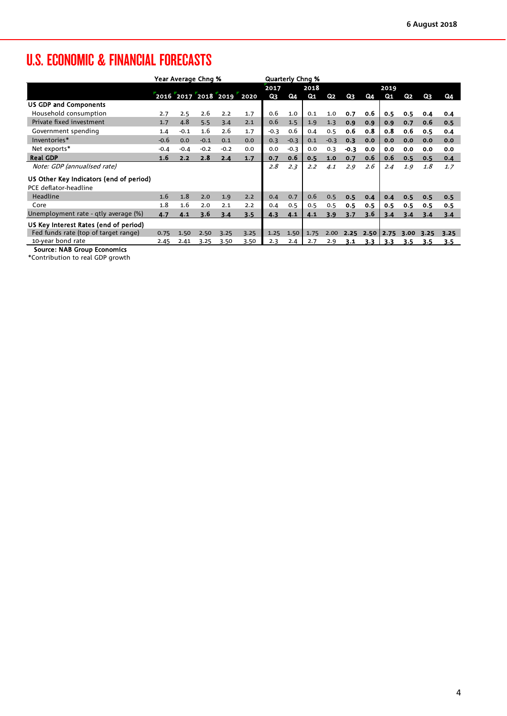# U.S. ECONOMIC & FINANCIAL FORECASTS

|                                         | Year Average Chng % |        |        |                          |      | <b>Quarterly Chng %</b> |        |      |        |        |      |      |      |      |      |
|-----------------------------------------|---------------------|--------|--------|--------------------------|------|-------------------------|--------|------|--------|--------|------|------|------|------|------|
|                                         |                     |        |        |                          |      | 2018<br>2017            |        |      |        | 2019   |      |      |      |      |      |
|                                         |                     |        |        | 2016 2017 2018 2019 2020 |      | Q3                      | Q4     | Q1   | Q2     | Q3     | Q4   | Q1   | Q2   | Q3   | Q4   |
| <b>US GDP and Components</b>            |                     |        |        |                          |      |                         |        |      |        |        |      |      |      |      |      |
| Household consumption                   | 2.7                 | 2.5    | 2.6    | 2.2                      | 1.7  | 0.6                     | 1.0    | 0.1  | 1.0    | 0.7    | 0.6  | 0.5  | 0.5  | 0.4  | 0.4  |
| Private fixed investment                | 1.7                 | 4.8    | 5.5    | 3.4                      | 2.1  | 0.6                     | 1.5    | 1.9  | 1.3    | 0.9    | 0.9  | 0.9  | 0.7  | 0.6  | 0.5  |
| Government spending                     | 1.4                 | $-0.1$ | 1.6    | 2.6                      | 1.7  | $-0.3$                  | 0.6    | 0.4  | 0.5    | 0.6    | 0.8  | 0.8  | 0.6  | 0.5  | 0.4  |
| Inventories*                            | $-0.6$              | 0.0    | $-0.1$ | 0.1                      | 0.0  | 0.3                     | $-0.3$ | 0.1  | $-0.3$ | 0.3    | 0.0  | 0.0  | 0.0  | 0.0  | 0.0  |
| Net exports*                            | $-0.4$              | $-0.4$ | $-0.2$ | $-0.2$                   | 0.0  | 0.0                     | $-0.3$ | 0.0  | 0.3    | $-0.3$ | 0.0  | 0.0  | 0.0  | 0.0  | 0.0  |
| <b>Real GDP</b>                         | 1.6                 | 2.2    | 2.8    | 2.4                      | 1.7  | 0.7                     | 0.6    | 0.5  | 1.0    | 0.7    | 0.6  | 0.6  | 0.5  | 0.5  | 0.4  |
| Note: GDP (annualised rate)             |                     |        |        |                          |      | 2.8                     | 2.3    | 2.2  | 4.1    | 2.9    | 2.6  | 2.4  | 1.9  | 1.8  | 1.7  |
| US Other Key Indicators (end of period) |                     |        |        |                          |      |                         |        |      |        |        |      |      |      |      |      |
| PCE deflator-headline                   |                     |        |        |                          |      |                         |        |      |        |        |      |      |      |      |      |
| Headline                                | 1.6                 | 1.8    | 2.0    | 1.9                      | 2.2  | 0.4                     | 0.7    | 0.6  | 0.5    | 0.5    | 0.4  | 0.4  | 0.5  | 0.5  | 0.5  |
| Core                                    | 1.8                 | 1.6    | 2.0    | 2.1                      | 2.2  | 0.4                     | 0.5    | 0.5  | 0.5    | 0.5    | 0.5  | 0.5  | 0.5  | 0.5  | 0.5  |
| Unemployment rate - qtly average (%)    | 4.7                 | 4.1    | 3.6    | 3.4                      | 3.5  | 4.3                     | 4.1    | 4.1  | 3.9    | 3.7    | 3.6  | 3.4  | 3.4  | 3.4  | 3.4  |
| US Key Interest Rates (end of period)   |                     |        |        |                          |      |                         |        |      |        |        |      |      |      |      |      |
| Fed funds rate (top of target range)    | 0.75                | 1.50   | 2.50   | 3.25                     | 3.25 | 1.25                    | 1.50   | 1.75 | 2.00   | 2.25   | 2.50 | 2.75 | 3.00 | 3.25 | 3.25 |
| 10-year bond rate                       | 2.45                | 2.41   | 3.25   | 3.50                     | 3.50 | 2.3                     | 2.4    | 2.7  | 2.9    | 3.1    | 3.3  | 3.3  | 3.5  | 3.5  | 3.5  |
| <b>Source: NAB Group Economics</b>      |                     |        |        |                          |      |                         |        |      |        |        |      |      |      |      |      |

\*Contribution to real GDP growth